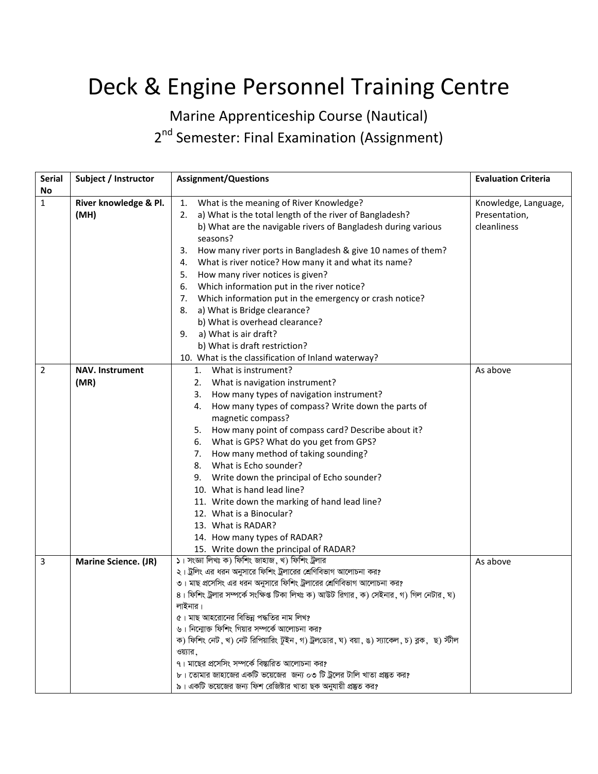## Deck & Engine Personnel Training Centre

Marine Apprenticeship Course (Nautical)

2<sup>nd</sup> Semester: Final Examination (Assignment)

| <b>Serial</b>  | Subject / Instructor   | <b>Assignment/Questions</b>                                                                                                                                    | <b>Evaluation Criteria</b> |
|----------------|------------------------|----------------------------------------------------------------------------------------------------------------------------------------------------------------|----------------------------|
| No             |                        |                                                                                                                                                                |                            |
| $\mathbf{1}$   | River knowledge & Pl.  | What is the meaning of River Knowledge?<br>1.                                                                                                                  | Knowledge, Language,       |
|                | (MH)                   | a) What is the total length of the river of Bangladesh?<br>2.                                                                                                  | Presentation,              |
|                |                        | b) What are the navigable rivers of Bangladesh during various                                                                                                  | cleanliness                |
|                |                        | seasons?                                                                                                                                                       |                            |
|                |                        | How many river ports in Bangladesh & give 10 names of them?<br>3.                                                                                              |                            |
|                |                        | What is river notice? How many it and what its name?<br>4.                                                                                                     |                            |
|                |                        | How many river notices is given?<br>5.                                                                                                                         |                            |
|                |                        | Which information put in the river notice?<br>6.                                                                                                               |                            |
|                |                        | Which information put in the emergency or crash notice?<br>7.                                                                                                  |                            |
|                |                        | a) What is Bridge clearance?<br>8.                                                                                                                             |                            |
|                |                        | b) What is overhead clearance?                                                                                                                                 |                            |
|                |                        | a) What is air draft?<br>9.                                                                                                                                    |                            |
|                |                        | b) What is draft restriction?                                                                                                                                  |                            |
|                |                        | 10. What is the classification of Inland waterway?                                                                                                             |                            |
| $\overline{2}$ | <b>NAV. Instrument</b> | 1. What is instrument?                                                                                                                                         | As above                   |
|                | (MR)                   | What is navigation instrument?<br>2.                                                                                                                           |                            |
|                |                        | How many types of navigation instrument?<br>3.                                                                                                                 |                            |
|                |                        | How many types of compass? Write down the parts of<br>4.                                                                                                       |                            |
|                |                        | magnetic compass?                                                                                                                                              |                            |
|                |                        | 5. How many point of compass card? Describe about it?                                                                                                          |                            |
|                |                        | What is GPS? What do you get from GPS?<br>6.                                                                                                                   |                            |
|                |                        | How many method of taking sounding?<br>7.                                                                                                                      |                            |
|                |                        | What is Echo sounder?<br>8.                                                                                                                                    |                            |
|                |                        | Write down the principal of Echo sounder?<br>9.                                                                                                                |                            |
|                |                        | 10. What is hand lead line?                                                                                                                                    |                            |
|                |                        | 11. Write down the marking of hand lead line?                                                                                                                  |                            |
|                |                        | 12. What is a Binocular?                                                                                                                                       |                            |
|                |                        | 13. What is RADAR?                                                                                                                                             |                            |
|                |                        | 14. How many types of RADAR?                                                                                                                                   |                            |
|                |                        | 15. Write down the principal of RADAR?                                                                                                                         |                            |
| 3              | Marine Science. (JR)   | ১। সংজ্ঞা লিখঃ ক) ফিশিং জাহাজ, খ) ফিশিং ট্রলার                                                                                                                 | As above                   |
|                |                        | ২। ট্রলিং এর ধরন অনুসারে ফিশিং ট্রলারের শ্রেণিবিভাগ আলোচনা কর?                                                                                                 |                            |
|                |                        | ৩। মাছ প্রসেসিং এর ধরন অনুসারে ফিশিং ট্রলারের শ্রেণিবিভাগ আলোচনা কর?<br>৪। ফিশিং ট্রলার সম্পর্কে সংক্ষিপ্ত টিকা লিখঃ ক) আউট রিগার, ক) সেইনার, গ) গিল নেটার, ঘ) |                            |
|                |                        | লাইনার।                                                                                                                                                        |                            |
|                |                        | ৫। মাছ আহরোনের বিভিন্ন পদ্ধতির নাম লিখ?                                                                                                                        |                            |
|                |                        | ৬। নিন্মোক্ত ফিশিং গিয়ার সম্পর্কে আলোচনা কর?                                                                                                                  |                            |
|                |                        | ক) ফিশিং নেট, খ) নেট রিপিয়ারিং টুইন, গ) ট্রলডোর, ঘ) বয়া, ঙ) স্যাকেল, চ) ব্লক, ছ) স্টীল                                                                       |                            |
|                |                        | ওয়্যার,                                                                                                                                                       |                            |
|                |                        | ৭। মাছের প্রসেসিং সম্পর্কে বিস্তারিত আলোচনা কর?                                                                                                                |                            |
|                |                        | ৮। তোমার জাহাজের একটি ভয়েজের  জন্য ০৩ টি ট্রলের টালি খাতা প্রষ্কৃত কর?                                                                                        |                            |
|                |                        | ৯। একটি ভয়েজের জন্য ফিশ রেজিষ্টার খাতা ছক অনুযায়ী প্রষ্তুত কর?                                                                                               |                            |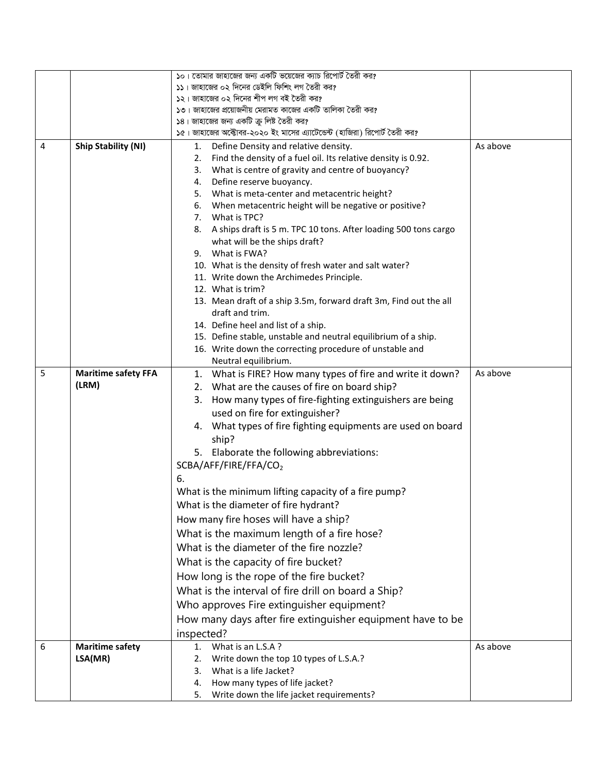|   |                            | ১০। তোমার জাহাজের জন্য একটি ভয়েজের ক্যাচ রিপোর্ট তৈরী কর?                |          |
|---|----------------------------|---------------------------------------------------------------------------|----------|
|   |                            | ১১। জাহাজের ০২ দিনের ডেইলি ফিশিং লগ তৈরী কর?                              |          |
|   |                            | ১২। জাহাজের ০২ দিনের শীপ লগ বই তৈরী কর?                                   |          |
|   |                            | ১৩। জাহাজের প্রয়োজনীয় মেরামত কাজের একটি তালিকা তৈরী কর?                 |          |
|   |                            | ১৪। জাহাজের জন্য একটি ক্রু লিষ্ট তৈরী কর?                                 |          |
|   |                            | ১৫। জাহাজের অক্টোবর-২০২০ ইং মাসের এ্যাটেন্ডেন্ট (হাজিরা) রিপোর্ট তৈরী কর? |          |
| 4 | <b>Ship Stability (NI)</b> | Define Density and relative density.<br>1.                                | As above |
|   |                            | Find the density of a fuel oil. Its relative density is 0.92.<br>2.       |          |
|   |                            | What is centre of gravity and centre of buoyancy?<br>3.                   |          |
|   |                            | Define reserve buoyancy.<br>4.                                            |          |
|   |                            | What is meta-center and metacentric height?<br>5.                         |          |
|   |                            | When metacentric height will be negative or positive?<br>6.               |          |
|   |                            | 7. What is TPC?                                                           |          |
|   |                            | 8.<br>A ships draft is 5 m. TPC 10 tons. After loading 500 tons cargo     |          |
|   |                            | what will be the ships draft?                                             |          |
|   |                            | 9. What is FWA?                                                           |          |
|   |                            | 10. What is the density of fresh water and salt water?                    |          |
|   |                            | 11. Write down the Archimedes Principle.                                  |          |
|   |                            | 12. What is trim?                                                         |          |
|   |                            | 13. Mean draft of a ship 3.5m, forward draft 3m, Find out the all         |          |
|   |                            | draft and trim.                                                           |          |
|   |                            | 14. Define heel and list of a ship.                                       |          |
|   |                            | 15. Define stable, unstable and neutral equilibrium of a ship.            |          |
|   |                            | 16. Write down the correcting procedure of unstable and                   |          |
|   |                            | Neutral equilibrium.                                                      |          |
| 5 | <b>Maritime safety FFA</b> | 1. What is FIRE? How many types of fire and write it down?                | As above |
|   | (LRM)                      | 2. What are the causes of fire on board ship?                             |          |
|   |                            | How many types of fire-fighting extinguishers are being<br>3.             |          |
|   |                            | used on fire for extinguisher?                                            |          |
|   |                            | 4. What types of fire fighting equipments are used on board               |          |
|   |                            | ship?                                                                     |          |
|   |                            | 5. Elaborate the following abbreviations:                                 |          |
|   |                            | SCBA/AFF/FIRE/FFA/CO2                                                     |          |
|   |                            | 6.                                                                        |          |
|   |                            |                                                                           |          |
|   |                            | What is the minimum lifting capacity of a fire pump?                      |          |
|   |                            | What is the diameter of fire hydrant?                                     |          |
|   |                            | How many fire hoses will have a ship?                                     |          |
|   |                            | What is the maximum length of a fire hose?                                |          |
|   |                            | What is the diameter of the fire nozzle?                                  |          |
|   |                            | What is the capacity of fire bucket?                                      |          |
|   |                            | How long is the rope of the fire bucket?                                  |          |
|   |                            | What is the interval of fire drill on board a Ship?                       |          |
|   |                            |                                                                           |          |
|   |                            | Who approves Fire extinguisher equipment?                                 |          |
|   |                            | How many days after fire extinguisher equipment have to be                |          |
|   |                            | inspected?                                                                |          |
| 6 | <b>Maritime safety</b>     | What is an L.S.A?<br>1.                                                   | As above |
|   | LSA(MR)                    | Write down the top 10 types of L.S.A.?<br>2.                              |          |
|   |                            | What is a life Jacket?<br>3.                                              |          |
|   |                            | How many types of life jacket?<br>4.                                      |          |
|   |                            | Write down the life jacket requirements?<br>5.                            |          |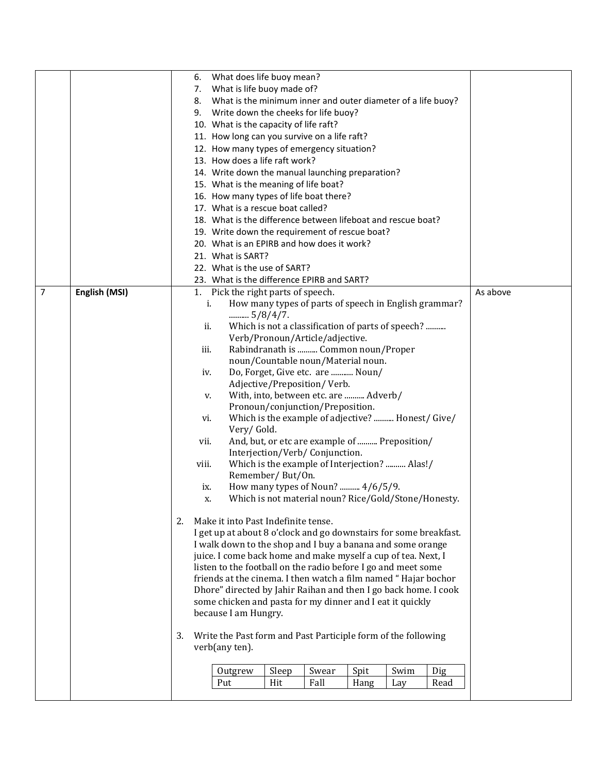|                |               | What does life buoy mean?<br>6.                                                 |
|----------------|---------------|---------------------------------------------------------------------------------|
|                |               | What is life buoy made of?<br>7.                                                |
|                |               | What is the minimum inner and outer diameter of a life buoy?<br>8.              |
|                |               | Write down the cheeks for life buoy?<br>9.                                      |
|                |               | 10. What is the capacity of life raft?                                          |
|                |               | 11. How long can you survive on a life raft?                                    |
|                |               | 12. How many types of emergency situation?                                      |
|                |               | 13. How does a life raft work?                                                  |
|                |               | 14. Write down the manual launching preparation?                                |
|                |               | 15. What is the meaning of life boat?                                           |
|                |               | 16. How many types of life boat there?                                          |
|                |               | 17. What is a rescue boat called?                                               |
|                |               | 18. What is the difference between lifeboat and rescue boat?                    |
|                |               | 19. Write down the requirement of rescue boat?                                  |
|                |               | 20. What is an EPIRB and how does it work?                                      |
|                |               | 21. What is SART?                                                               |
|                |               | 22. What is the use of SART?                                                    |
|                |               | 23. What is the difference EPIRB and SART?                                      |
| $\overline{7}$ | English (MSI) | 1. Pick the right parts of speech.<br>As above                                  |
|                |               | How many types of parts of speech in English grammar?<br>i.                     |
|                |               | $5/8/4/7$ .                                                                     |
|                |               | Which is not a classification of parts of speech?<br>ii.                        |
|                |               | Verb/Pronoun/Article/adjective.                                                 |
|                |               | Rabindranath is  Common noun/Proper<br>iii.                                     |
|                |               | noun/Countable noun/Material noun.                                              |
|                |               | Do, Forget, Give etc. are  Noun/<br>iv.                                         |
|                |               | Adjective/Preposition/Verb.                                                     |
|                |               | With, into, between etc. are  Adverb/<br>v.                                     |
|                |               | Pronoun/conjunction/Preposition.                                                |
|                |               | Which is the example of adjective?  Honest/ Give/<br>vi.                        |
|                |               | Very/Gold.<br>And, but, or etc are example of  Preposition/<br>vii.             |
|                |               | Interjection/Verb/ Conjunction.                                                 |
|                |               | Which is the example of Interjection?  Alas!/<br>viii.                          |
|                |               | Remember/But/On.                                                                |
|                |               | How many types of Noun?  4/6/5/9.<br>ix.                                        |
|                |               | Which is not material noun? Rice/Gold/Stone/Honesty.<br>X.                      |
|                |               |                                                                                 |
|                |               | Make it into Past Indefinite tense.<br>2.                                       |
|                |               | I get up at about 8 o'clock and go downstairs for some breakfast.               |
|                |               | I walk down to the shop and I buy a banana and some orange                      |
|                |               | juice. I come back home and make myself a cup of tea. Next, I                   |
|                |               | listen to the football on the radio before I go and meet some                   |
|                |               | friends at the cinema. I then watch a film named "Hajar bochor                  |
|                |               | Dhore" directed by Jahir Raihan and then I go back home. I cook                 |
|                |               | some chicken and pasta for my dinner and I eat it quickly                       |
|                |               | because I am Hungry.                                                            |
|                |               | 3.                                                                              |
|                |               | Write the Past form and Past Participle form of the following<br>verb(any ten). |
|                |               | Sleep<br>Spit<br>Swim<br>Swear<br>Dig<br>Outgrew                                |
|                |               | Hit<br>Fall<br>Put<br>Hang<br>Read<br>Lay                                       |
|                |               |                                                                                 |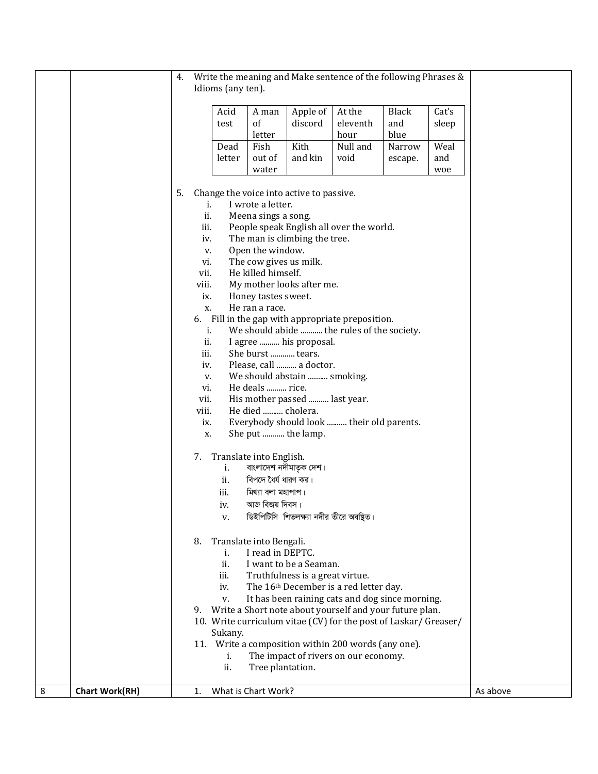| 8 | <b>Chart Work(RH)</b> |              |                   | What is Chart Work?                        |                                          |                                                                  |              |                | As above |
|---|-----------------------|--------------|-------------------|--------------------------------------------|------------------------------------------|------------------------------------------------------------------|--------------|----------------|----------|
|   |                       |              | ii.               | Tree plantation.                           |                                          |                                                                  |              |                |          |
|   |                       |              | i.                |                                            |                                          | The impact of rivers on our economy.                             |              |                |          |
|   |                       |              | Sukany.           |                                            |                                          | 11. Write a composition within 200 words (any one).              |              |                |          |
|   |                       |              |                   |                                            |                                          | 10. Write curriculum vitae (CV) for the post of Laskar/ Greaser/ |              |                |          |
|   |                       |              |                   |                                            |                                          | 9. Write a Short note about yourself and your future plan.       |              |                |          |
|   |                       |              | V.                |                                            |                                          | It has been raining cats and dog since morning.                  |              |                |          |
|   |                       |              | iv.               |                                            |                                          | The 16 <sup>th</sup> December is a red letter day.               |              |                |          |
|   |                       |              | iii.              |                                            | Truthfulness is a great virtue.          |                                                                  |              |                |          |
|   |                       |              | i.<br>ii.         | I read in DEPTC.                           | I want to be a Seaman.                   |                                                                  |              |                |          |
|   |                       | 8.           |                   | Translate into Bengali.                    |                                          |                                                                  |              |                |          |
|   |                       |              |                   |                                            |                                          |                                                                  |              |                |          |
|   |                       |              | v.                |                                            | ডিইপিটিসি শিতলক্ষ্যা নদীর তীরে অবষ্থিত।  |                                                                  |              |                |          |
|   |                       |              | iv.               | আজ বিজয় দিবস।                             |                                          |                                                                  |              |                |          |
|   |                       |              | ii.<br>iii.       | বিপদে ধৈর্য ধারণ কর।<br>মিথ্যা বলা মহাপাপ। |                                          |                                                                  |              |                |          |
|   |                       |              | i.                |                                            | বাংলাদেশ নদীমাতৃক দেশ।                   |                                                                  |              |                |          |
|   |                       | 7.           |                   | Translate into English.                    |                                          |                                                                  |              |                |          |
|   |                       | X.           |                   |                                            | She put  the lamp.                       |                                                                  |              |                |          |
|   |                       | ix.          |                   |                                            |                                          | Everybody should look  their old parents.                        |              |                |          |
|   |                       | viii.        |                   | He died  cholera.                          |                                          |                                                                  |              |                |          |
|   |                       | vii.         |                   |                                            | His mother passed  last year.            |                                                                  |              |                |          |
|   |                       | vi.          |                   | He deals  rice.                            |                                          |                                                                  |              |                |          |
|   |                       | v.           |                   |                                            | We should abstain  smoking.              |                                                                  |              |                |          |
|   |                       | iii.<br>iv.  |                   | She burst  tears.                          | Please, call  a doctor.                  |                                                                  |              |                |          |
|   |                       | ii.          |                   |                                            | I agree  his proposal.                   |                                                                  |              |                |          |
|   |                       |              | i.                |                                            |                                          | We should abide  the rules of the society.                       |              |                |          |
|   |                       | 6.           |                   |                                            |                                          | Fill in the gap with appropriate preposition.                    |              |                |          |
|   |                       | х.           |                   | He ran a race.                             |                                          |                                                                  |              |                |          |
|   |                       | viii.<br>ix. |                   | Honey tastes sweet.                        | My mother looks after me.                |                                                                  |              |                |          |
|   |                       | vii.         |                   | He killed himself.                         |                                          |                                                                  |              |                |          |
|   |                       | vi.          |                   | The cow gives us milk.                     |                                          |                                                                  |              |                |          |
|   |                       | V.           |                   | Open the window.                           |                                          |                                                                  |              |                |          |
|   |                       | iii.<br>iv.  |                   |                                            | The man is climbing the tree.            | People speak English all over the world.                         |              |                |          |
|   |                       | ii.          |                   | Meena sings a song.                        |                                          |                                                                  |              |                |          |
|   |                       |              | i.                | I wrote a letter.                          |                                          |                                                                  |              |                |          |
|   |                       | 5.           |                   |                                            | Change the voice into active to passive. |                                                                  |              |                |          |
|   |                       |              |                   | water                                      |                                          |                                                                  |              | woe            |          |
|   |                       |              | letter            | out of                                     | and kin                                  | void                                                             | escape.      | and            |          |
|   |                       |              | Dead              | Fish                                       | Kith                                     | Null and                                                         | Narrow       | Weal           |          |
|   |                       |              |                   | letter                                     |                                          | hour                                                             | blue         |                |          |
|   |                       |              | Acid<br>test      | A man<br>of                                | Apple of<br>discord                      | At the<br>eleventh                                               | Black<br>and | Cat's<br>sleep |          |
|   |                       |              |                   |                                            |                                          |                                                                  |              |                |          |
|   |                       |              | Idioms (any ten). |                                            |                                          |                                                                  |              |                |          |
|   |                       | 4.           |                   |                                            |                                          | Write the meaning and Make sentence of the following Phrases &   |              |                |          |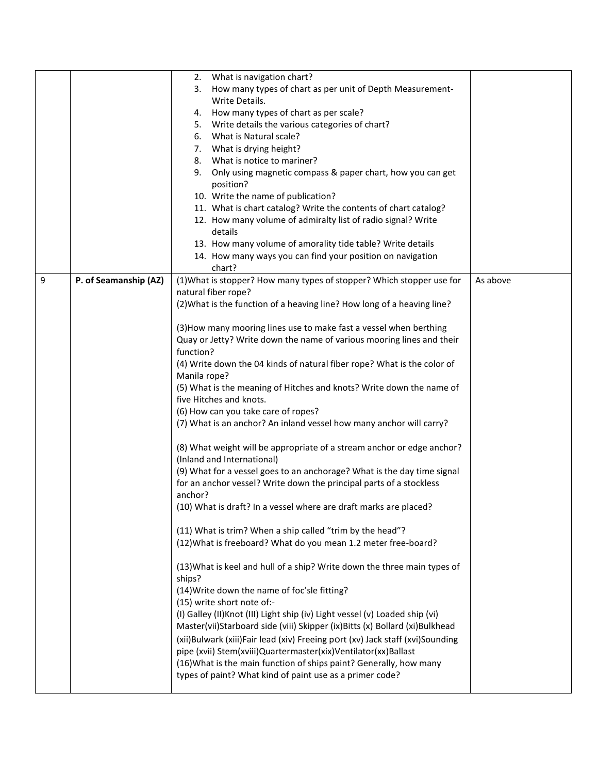|   |                       | What is navigation chart?<br>2.                                               |          |
|---|-----------------------|-------------------------------------------------------------------------------|----------|
|   |                       | How many types of chart as per unit of Depth Measurement-<br>3.               |          |
|   |                       | Write Details.                                                                |          |
|   |                       | How many types of chart as per scale?<br>4.                                   |          |
|   |                       | Write details the various categories of chart?<br>5.                          |          |
|   |                       | What is Natural scale?<br>6.                                                  |          |
|   |                       | What is drying height?<br>7.                                                  |          |
|   |                       | What is notice to mariner?<br>8.                                              |          |
|   |                       | 9.<br>Only using magnetic compass & paper chart, how you can get              |          |
|   |                       | position?                                                                     |          |
|   |                       | 10. Write the name of publication?                                            |          |
|   |                       | 11. What is chart catalog? Write the contents of chart catalog?               |          |
|   |                       | 12. How many volume of admiralty list of radio signal? Write                  |          |
|   |                       | details                                                                       |          |
|   |                       | 13. How many volume of amorality tide table? Write details                    |          |
|   |                       | 14. How many ways you can find your position on navigation                    |          |
|   |                       | chart?                                                                        |          |
| 9 | P. of Seamanship (AZ) | (1) What is stopper? How many types of stopper? Which stopper use for         | As above |
|   |                       | natural fiber rope?                                                           |          |
|   |                       | (2) What is the function of a heaving line? How long of a heaving line?       |          |
|   |                       |                                                                               |          |
|   |                       | (3) How many mooring lines use to make fast a vessel when berthing            |          |
|   |                       | Quay or Jetty? Write down the name of various mooring lines and their         |          |
|   |                       | function?                                                                     |          |
|   |                       | (4) Write down the 04 kinds of natural fiber rope? What is the color of       |          |
|   |                       | Manila rope?                                                                  |          |
|   |                       | (5) What is the meaning of Hitches and knots? Write down the name of          |          |
|   |                       | five Hitches and knots.                                                       |          |
|   |                       | (6) How can you take care of ropes?                                           |          |
|   |                       | (7) What is an anchor? An inland vessel how many anchor will carry?           |          |
|   |                       | (8) What weight will be appropriate of a stream anchor or edge anchor?        |          |
|   |                       | (Inland and International)                                                    |          |
|   |                       | (9) What for a vessel goes to an anchorage? What is the day time signal       |          |
|   |                       | for an anchor vessel? Write down the principal parts of a stockless           |          |
|   |                       | anchor?                                                                       |          |
|   |                       | (10) What is draft? In a vessel where are draft marks are placed?             |          |
|   |                       | (11) What is trim? When a ship called "trim by the head"?                     |          |
|   |                       | (12) What is freeboard? What do you mean 1.2 meter free-board?                |          |
|   |                       |                                                                               |          |
|   |                       | (13) What is keel and hull of a ship? Write down the three main types of      |          |
|   |                       | ships?                                                                        |          |
|   |                       | (14) Write down the name of foc'sle fitting?                                  |          |
|   |                       | (15) write short note of:-                                                    |          |
|   |                       | (I) Galley (II) Knot (III) Light ship (iv) Light vessel (v) Loaded ship (vi)  |          |
|   |                       | Master(vii)Starboard side (viii) Skipper (ix)Bitts (x) Bollard (xi)Bulkhead   |          |
|   |                       | (xii)Bulwark (xiii)Fair lead (xiv) Freeing port (xv) Jack staff (xvi)Sounding |          |
|   |                       | pipe (xvii) Stem(xviii)Quartermaster(xix)Ventilator(xx)Ballast                |          |
|   |                       | (16) What is the main function of ships paint? Generally, how many            |          |
|   |                       | types of paint? What kind of paint use as a primer code?                      |          |
|   |                       |                                                                               |          |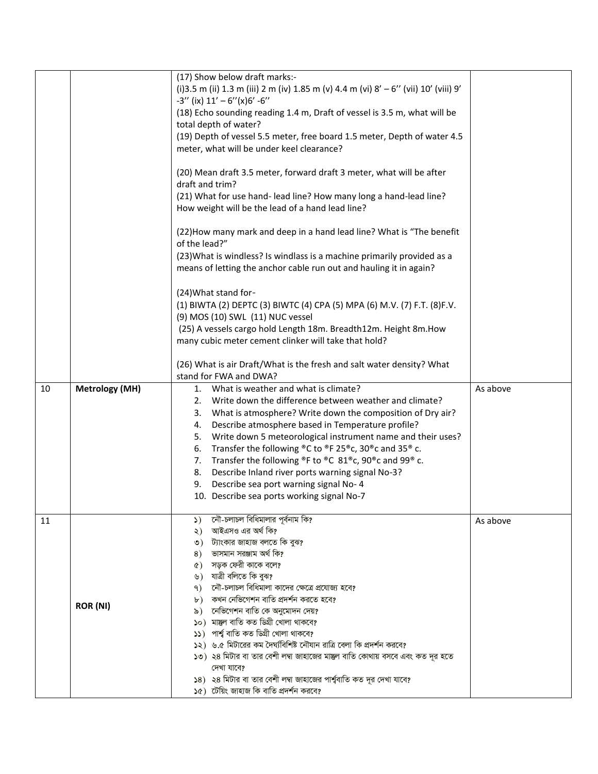|    |                       | (17) Show below draft marks:-<br>(i) 3.5 m (ii) 1.3 m (iii) 2 m (iv) 1.85 m (v) 4.4 m (vi) 8' - 6" (vii) 10' (viii) 9' |          |
|----|-----------------------|------------------------------------------------------------------------------------------------------------------------|----------|
|    |                       | $-3''$ (ix) $11' - 6''(x)6' - 6''$                                                                                     |          |
|    |                       | (18) Echo sounding reading 1.4 m, Draft of vessel is 3.5 m, what will be                                               |          |
|    |                       | total depth of water?                                                                                                  |          |
|    |                       | (19) Depth of vessel 5.5 meter, free board 1.5 meter, Depth of water 4.5                                               |          |
|    |                       | meter, what will be under keel clearance?                                                                              |          |
|    |                       |                                                                                                                        |          |
|    |                       | (20) Mean draft 3.5 meter, forward draft 3 meter, what will be after                                                   |          |
|    |                       | draft and trim?                                                                                                        |          |
|    |                       | (21) What for use hand- lead line? How many long a hand-lead line?                                                     |          |
|    |                       | How weight will be the lead of a hand lead line?                                                                       |          |
|    |                       | (22) How many mark and deep in a hand lead line? What is "The benefit<br>of the lead?"                                 |          |
|    |                       | (23) What is windless? Is windlass is a machine primarily provided as a                                                |          |
|    |                       | means of letting the anchor cable run out and hauling it in again?                                                     |          |
|    |                       |                                                                                                                        |          |
|    |                       | (24) What stand for-                                                                                                   |          |
|    |                       | (1) BIWTA (2) DEPTC (3) BIWTC (4) CPA (5) MPA (6) M.V. (7) F.T. (8) F.V.                                               |          |
|    |                       | (9) MOS (10) SWL (11) NUC vessel                                                                                       |          |
|    |                       | (25) A vessels cargo hold Length 18m. Breadth12m. Height 8m.How                                                        |          |
|    |                       | many cubic meter cement clinker will take that hold?                                                                   |          |
|    |                       |                                                                                                                        |          |
|    |                       | (26) What is air Draft/What is the fresh and salt water density? What                                                  |          |
|    |                       | stand for FWA and DWA?                                                                                                 |          |
|    |                       |                                                                                                                        |          |
| 10 | <b>Metrology (MH)</b> | What is weather and what is climate?<br>1.                                                                             | As above |
|    |                       | Write down the difference between weather and climate?<br>2.                                                           |          |
|    |                       | 3. What is atmosphere? Write down the composition of Dry air?                                                          |          |
|    |                       | Describe atmosphere based in Temperature profile?<br>4.                                                                |          |
|    |                       | 5. Write down 5 meteorological instrument name and their uses?                                                         |          |
|    |                       | Transfer the following $^{\circ}$ C to $^{\circ}$ F 25 $^{\circ}$ c, 30 $^{\circ}$ c and 35 $^{\circ}$ c.<br>6.        |          |
|    |                       | 7. Transfer the following ®F to ®C 81®c, 90®c and 99® c.                                                               |          |
|    |                       | 8. Describe Inland river ports warning signal No-3?                                                                    |          |
|    |                       | 9. Describe sea port warning signal No-4                                                                               |          |
|    |                       | 10. Describe sea ports working signal No-7                                                                             |          |
|    |                       |                                                                                                                        |          |
| 11 |                       | নৌ-চলাচল বিধিমালার পূর্বনাম কি?<br>$\mathcal{L}$                                                                       | As above |
|    |                       | আইএসও এর অর্থ কি?<br>২)                                                                                                |          |
|    |                       | ৩) ট্যাংকার জাহাজ বলতে কি বুঝ?                                                                                         |          |
|    |                       | ভাসমান সরঞ্জাম অর্থ কি?<br>8)<br>সড়ক ফেরী কাকে বলে?<br>$\circ$ )                                                      |          |
|    |                       | ৬) যাত্ৰী বলিতে কি বুঝ?                                                                                                |          |
|    |                       | নৌ-চলাচল বিধিমালা কাদের ক্ষেত্রে প্রযোজ্য হবে?<br>9)                                                                   |          |
|    |                       | কখন নেভিগেশন বাতি প্রদর্শন করতে হবে?<br>$\mathbf{b}$ )                                                                 |          |
|    | <b>ROR (NI)</b>       | নেভিগেশন বাতি কে অনুমোদন দেয়?<br>৯)                                                                                   |          |
|    |                       | ১০) মাম্ভল বাতি কত ডিগ্ৰী খোলা থাকবে?                                                                                  |          |
|    |                       | পাৰ্শ্ব বাতি কত ডিগ্ৰী খোলা থাকবে?<br>52)                                                                              |          |
|    |                       | ১২) ৬.৫ মিটারের কম দৈর্ঘ্যবিশিষ্ট নৌযান রাত্রি বেলা কি প্রদর্শন করবে?                                                  |          |
|    |                       | ১৩) ২৪ মিটার বা তার বেশী লম্বা জাহাজের মান্তুল বাতি কোথায় বসবে এবং কত দূর হতে                                         |          |
|    |                       | দেখা যাবে?                                                                                                             |          |
|    |                       | ১৪) ২৪ মিটার বা তার বেশী লম্বা জাহাজের পার্শ্ববাতি কত দূর দেখা যাবে?<br>১৫) টেয়িং জাহাজ কি বাতি প্রদর্শন করবে?        |          |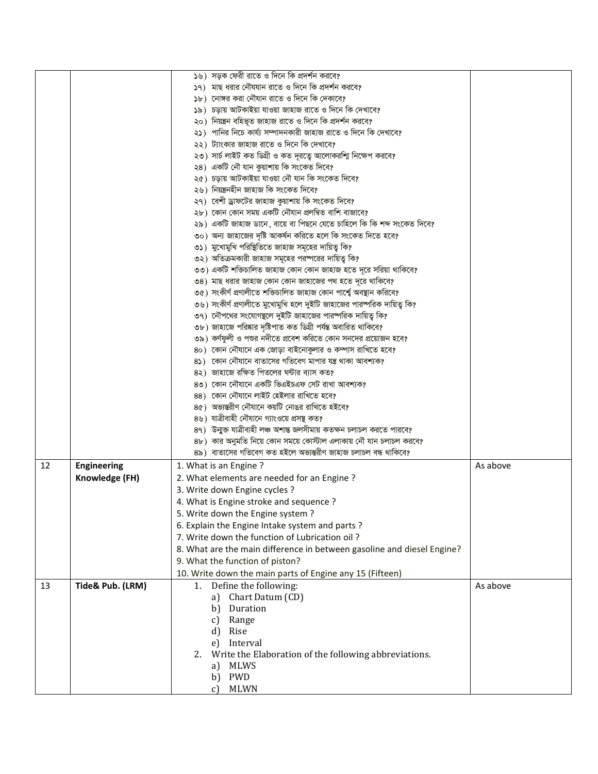| ১৭) মাছ ধরার নৌযযান রাতে ও দিনে কি প্রদর্শন করবে?<br>১৮) নোঙ্গর করা নৌযান রাতে ও দিনে কি দেকাবে?<br>১৯) চড়ায় আটকাইয়া যাওয়া জাহাজ রাতে ও দিনে কি দেখাবে?<br>২০) নিয়ন্ত্রন বহিভূত জাহাজ রাতে ও দিনে কি প্রদর্শন করবে?<br>২১)  পানির নিচে কার্য্য সম্পাদনকারী জাহাজ রাতে ও দিনে কি দেখাবে?<br>২২) ট্যাংকার জাহাজ রাতে ও দিনে কি দেখাবে?<br>২৩) সার্চ লাইট কত ডিগ্রী ও কত দূরত্বে আলোকরশ্মি নিক্ষেপ করবে?<br>২৪) একটি নৌ যান কুয়াশায় কি সংকেত দিবে?<br>২৫) চড়ায় আটকাইয়া যাওয়া নৌ যান কি সংকেত দিবে?<br>২৬) নিয়ন্ত্ৰনহীন জাহাজ কি সংকেত দিবে?<br>২৭) বেশী ড্রাফটের জাহাজ কুয়াশায় কি সংকেত দিবে?<br>২৮) কোন কোন সময় একটি নৌযান প্রলম্বিত বাশি বাজাবে?<br>২৯) একটি জাহাজ ডানে, বায়ে বা পিছনে যেতে চাহিলে কি কি শব্দ সংকেত দিবে?<br>৩০) অন্য জাহাজের দৃষ্টি আকর্ষন করিতে হলে কি সংকেত দিতে হবে?<br>৩১) মুখোমুখি পরিষ্থিতিতে জাহাজ সমূহের দায়িত্ব কি?<br>৩২) অতিক্রমকারী জাহাজ সমূহের পরষ্পরের দায়িত্ব কি?<br>৩৩) একটি শক্তিচালিত জাহাজ কোন কোন জাহাজ হতে দূরে সরিয়া থাকিবে?<br>৩৪) মাছ ধরার জাহাজ কোন কোন জাহাজের পথ হতে দূরে থাকিবে?<br>৩৫) সংকীৰ্ণ প্ৰণালীতে শক্তিচালিত জাহাজ কোন পাৰ্শ্বে অবস্থান করিবে?<br>৩৬) সংকীর্ণ প্রণালীতে মুখোমুখি হলে দুইটি জাহাজের পারষ্পরিক দায়িত্ব কি?<br>৩৭) নৌপথের সংযোগছলে দুইটি জাহাজের পারষ্পরিক দায়িত্ব কি?<br>৩৮) জাহাজে পরিষ্কার দৃষ্টিপাত কত ডিগ্রী পর্যন্ত অবারিত থাকিবে?<br>৩৯) কর্ণফুলী ও পশুর নদীতে প্রবেশ করিতে কোন সনদের প্রয়োজন হবে?<br>8০) কোন নৌযানে এক জোড়া বাইনোকুলার ও কম্পাস রাখিতে হবে?<br>৪১) কোন নৌযানে বাতাসের গতিবেগ মাপার যন্ত্র থাকা আবশ্যক?<br>৪২) জাহাজে রক্ষিত পিতলের ঘন্টার ব্যাস কত?<br>৪৩) কোন নৌযানে একটি ভিএইচএফ সেট রাখা আবশ্যক?<br>88) কোন নৌযানে লাইট হেইলার রাখিতে হবে?<br>৪৫) অভ্যন্তরীণ নৌযানে কয়টি নোঙর রাখিতে হইবে?<br>৪৬) যাত্রীবাহী নৌযানে গ্যাংওয়ে প্রসন্থ কত?<br>89) উন্মুক্ত যাত্রীবাহী লঞ্চ অশান্ত জলসীমায় কতক্ষন চলাচল করতে পারবে?<br>৪৮) কার অনুমতি নিয়ে কোন সময়ে কোস্টাল এলাকায় নৌ যান চলাচল করবে?<br>৪৯) বাতাসের গতিবেগ কত হইলে অভ্যন্তরীণ জাহাজ চলাচল বন্ধ থাকিবে?<br>12<br><b>Engineering</b><br>1. What is an Engine?<br>As above<br>Knowledge (FH)<br>2. What elements are needed for an Engine?<br>3. Write down Engine cycles ?<br>4. What is Engine stroke and sequence?<br>5. Write down the Engine system?<br>6. Explain the Engine Intake system and parts?<br>7. Write down the function of Lubrication oil?<br>8. What are the main difference in between gasoline and diesel Engine?<br>9. What the function of piston?<br>10. Write down the main parts of Engine any 15 (Fifteen) |  | ১৬) সড়ক ফেরী রাতে ও দিনে কি প্রদর্শন করবে? |  |
|-------------------------------------------------------------------------------------------------------------------------------------------------------------------------------------------------------------------------------------------------------------------------------------------------------------------------------------------------------------------------------------------------------------------------------------------------------------------------------------------------------------------------------------------------------------------------------------------------------------------------------------------------------------------------------------------------------------------------------------------------------------------------------------------------------------------------------------------------------------------------------------------------------------------------------------------------------------------------------------------------------------------------------------------------------------------------------------------------------------------------------------------------------------------------------------------------------------------------------------------------------------------------------------------------------------------------------------------------------------------------------------------------------------------------------------------------------------------------------------------------------------------------------------------------------------------------------------------------------------------------------------------------------------------------------------------------------------------------------------------------------------------------------------------------------------------------------------------------------------------------------------------------------------------------------------------------------------------------------------------------------------------------------------------------------------------------------------------------------------------------------------------------------------------------------------------------------------------------------------------------------------------------------------------------------------------------------------------------------------------------------------------------------------------------------------------------------------------------------------------------------------|--|---------------------------------------------|--|
|                                                                                                                                                                                                                                                                                                                                                                                                                                                                                                                                                                                                                                                                                                                                                                                                                                                                                                                                                                                                                                                                                                                                                                                                                                                                                                                                                                                                                                                                                                                                                                                                                                                                                                                                                                                                                                                                                                                                                                                                                                                                                                                                                                                                                                                                                                                                                                                                                                                                                                             |  |                                             |  |
|                                                                                                                                                                                                                                                                                                                                                                                                                                                                                                                                                                                                                                                                                                                                                                                                                                                                                                                                                                                                                                                                                                                                                                                                                                                                                                                                                                                                                                                                                                                                                                                                                                                                                                                                                                                                                                                                                                                                                                                                                                                                                                                                                                                                                                                                                                                                                                                                                                                                                                             |  |                                             |  |
|                                                                                                                                                                                                                                                                                                                                                                                                                                                                                                                                                                                                                                                                                                                                                                                                                                                                                                                                                                                                                                                                                                                                                                                                                                                                                                                                                                                                                                                                                                                                                                                                                                                                                                                                                                                                                                                                                                                                                                                                                                                                                                                                                                                                                                                                                                                                                                                                                                                                                                             |  |                                             |  |
|                                                                                                                                                                                                                                                                                                                                                                                                                                                                                                                                                                                                                                                                                                                                                                                                                                                                                                                                                                                                                                                                                                                                                                                                                                                                                                                                                                                                                                                                                                                                                                                                                                                                                                                                                                                                                                                                                                                                                                                                                                                                                                                                                                                                                                                                                                                                                                                                                                                                                                             |  |                                             |  |
|                                                                                                                                                                                                                                                                                                                                                                                                                                                                                                                                                                                                                                                                                                                                                                                                                                                                                                                                                                                                                                                                                                                                                                                                                                                                                                                                                                                                                                                                                                                                                                                                                                                                                                                                                                                                                                                                                                                                                                                                                                                                                                                                                                                                                                                                                                                                                                                                                                                                                                             |  |                                             |  |
|                                                                                                                                                                                                                                                                                                                                                                                                                                                                                                                                                                                                                                                                                                                                                                                                                                                                                                                                                                                                                                                                                                                                                                                                                                                                                                                                                                                                                                                                                                                                                                                                                                                                                                                                                                                                                                                                                                                                                                                                                                                                                                                                                                                                                                                                                                                                                                                                                                                                                                             |  |                                             |  |
|                                                                                                                                                                                                                                                                                                                                                                                                                                                                                                                                                                                                                                                                                                                                                                                                                                                                                                                                                                                                                                                                                                                                                                                                                                                                                                                                                                                                                                                                                                                                                                                                                                                                                                                                                                                                                                                                                                                                                                                                                                                                                                                                                                                                                                                                                                                                                                                                                                                                                                             |  |                                             |  |
|                                                                                                                                                                                                                                                                                                                                                                                                                                                                                                                                                                                                                                                                                                                                                                                                                                                                                                                                                                                                                                                                                                                                                                                                                                                                                                                                                                                                                                                                                                                                                                                                                                                                                                                                                                                                                                                                                                                                                                                                                                                                                                                                                                                                                                                                                                                                                                                                                                                                                                             |  |                                             |  |
|                                                                                                                                                                                                                                                                                                                                                                                                                                                                                                                                                                                                                                                                                                                                                                                                                                                                                                                                                                                                                                                                                                                                                                                                                                                                                                                                                                                                                                                                                                                                                                                                                                                                                                                                                                                                                                                                                                                                                                                                                                                                                                                                                                                                                                                                                                                                                                                                                                                                                                             |  |                                             |  |
|                                                                                                                                                                                                                                                                                                                                                                                                                                                                                                                                                                                                                                                                                                                                                                                                                                                                                                                                                                                                                                                                                                                                                                                                                                                                                                                                                                                                                                                                                                                                                                                                                                                                                                                                                                                                                                                                                                                                                                                                                                                                                                                                                                                                                                                                                                                                                                                                                                                                                                             |  |                                             |  |
|                                                                                                                                                                                                                                                                                                                                                                                                                                                                                                                                                                                                                                                                                                                                                                                                                                                                                                                                                                                                                                                                                                                                                                                                                                                                                                                                                                                                                                                                                                                                                                                                                                                                                                                                                                                                                                                                                                                                                                                                                                                                                                                                                                                                                                                                                                                                                                                                                                                                                                             |  |                                             |  |
|                                                                                                                                                                                                                                                                                                                                                                                                                                                                                                                                                                                                                                                                                                                                                                                                                                                                                                                                                                                                                                                                                                                                                                                                                                                                                                                                                                                                                                                                                                                                                                                                                                                                                                                                                                                                                                                                                                                                                                                                                                                                                                                                                                                                                                                                                                                                                                                                                                                                                                             |  |                                             |  |
|                                                                                                                                                                                                                                                                                                                                                                                                                                                                                                                                                                                                                                                                                                                                                                                                                                                                                                                                                                                                                                                                                                                                                                                                                                                                                                                                                                                                                                                                                                                                                                                                                                                                                                                                                                                                                                                                                                                                                                                                                                                                                                                                                                                                                                                                                                                                                                                                                                                                                                             |  |                                             |  |
|                                                                                                                                                                                                                                                                                                                                                                                                                                                                                                                                                                                                                                                                                                                                                                                                                                                                                                                                                                                                                                                                                                                                                                                                                                                                                                                                                                                                                                                                                                                                                                                                                                                                                                                                                                                                                                                                                                                                                                                                                                                                                                                                                                                                                                                                                                                                                                                                                                                                                                             |  |                                             |  |
|                                                                                                                                                                                                                                                                                                                                                                                                                                                                                                                                                                                                                                                                                                                                                                                                                                                                                                                                                                                                                                                                                                                                                                                                                                                                                                                                                                                                                                                                                                                                                                                                                                                                                                                                                                                                                                                                                                                                                                                                                                                                                                                                                                                                                                                                                                                                                                                                                                                                                                             |  |                                             |  |
|                                                                                                                                                                                                                                                                                                                                                                                                                                                                                                                                                                                                                                                                                                                                                                                                                                                                                                                                                                                                                                                                                                                                                                                                                                                                                                                                                                                                                                                                                                                                                                                                                                                                                                                                                                                                                                                                                                                                                                                                                                                                                                                                                                                                                                                                                                                                                                                                                                                                                                             |  |                                             |  |
|                                                                                                                                                                                                                                                                                                                                                                                                                                                                                                                                                                                                                                                                                                                                                                                                                                                                                                                                                                                                                                                                                                                                                                                                                                                                                                                                                                                                                                                                                                                                                                                                                                                                                                                                                                                                                                                                                                                                                                                                                                                                                                                                                                                                                                                                                                                                                                                                                                                                                                             |  |                                             |  |
|                                                                                                                                                                                                                                                                                                                                                                                                                                                                                                                                                                                                                                                                                                                                                                                                                                                                                                                                                                                                                                                                                                                                                                                                                                                                                                                                                                                                                                                                                                                                                                                                                                                                                                                                                                                                                                                                                                                                                                                                                                                                                                                                                                                                                                                                                                                                                                                                                                                                                                             |  |                                             |  |
|                                                                                                                                                                                                                                                                                                                                                                                                                                                                                                                                                                                                                                                                                                                                                                                                                                                                                                                                                                                                                                                                                                                                                                                                                                                                                                                                                                                                                                                                                                                                                                                                                                                                                                                                                                                                                                                                                                                                                                                                                                                                                                                                                                                                                                                                                                                                                                                                                                                                                                             |  |                                             |  |
|                                                                                                                                                                                                                                                                                                                                                                                                                                                                                                                                                                                                                                                                                                                                                                                                                                                                                                                                                                                                                                                                                                                                                                                                                                                                                                                                                                                                                                                                                                                                                                                                                                                                                                                                                                                                                                                                                                                                                                                                                                                                                                                                                                                                                                                                                                                                                                                                                                                                                                             |  |                                             |  |
|                                                                                                                                                                                                                                                                                                                                                                                                                                                                                                                                                                                                                                                                                                                                                                                                                                                                                                                                                                                                                                                                                                                                                                                                                                                                                                                                                                                                                                                                                                                                                                                                                                                                                                                                                                                                                                                                                                                                                                                                                                                                                                                                                                                                                                                                                                                                                                                                                                                                                                             |  |                                             |  |
|                                                                                                                                                                                                                                                                                                                                                                                                                                                                                                                                                                                                                                                                                                                                                                                                                                                                                                                                                                                                                                                                                                                                                                                                                                                                                                                                                                                                                                                                                                                                                                                                                                                                                                                                                                                                                                                                                                                                                                                                                                                                                                                                                                                                                                                                                                                                                                                                                                                                                                             |  |                                             |  |
|                                                                                                                                                                                                                                                                                                                                                                                                                                                                                                                                                                                                                                                                                                                                                                                                                                                                                                                                                                                                                                                                                                                                                                                                                                                                                                                                                                                                                                                                                                                                                                                                                                                                                                                                                                                                                                                                                                                                                                                                                                                                                                                                                                                                                                                                                                                                                                                                                                                                                                             |  |                                             |  |
|                                                                                                                                                                                                                                                                                                                                                                                                                                                                                                                                                                                                                                                                                                                                                                                                                                                                                                                                                                                                                                                                                                                                                                                                                                                                                                                                                                                                                                                                                                                                                                                                                                                                                                                                                                                                                                                                                                                                                                                                                                                                                                                                                                                                                                                                                                                                                                                                                                                                                                             |  |                                             |  |
|                                                                                                                                                                                                                                                                                                                                                                                                                                                                                                                                                                                                                                                                                                                                                                                                                                                                                                                                                                                                                                                                                                                                                                                                                                                                                                                                                                                                                                                                                                                                                                                                                                                                                                                                                                                                                                                                                                                                                                                                                                                                                                                                                                                                                                                                                                                                                                                                                                                                                                             |  |                                             |  |
|                                                                                                                                                                                                                                                                                                                                                                                                                                                                                                                                                                                                                                                                                                                                                                                                                                                                                                                                                                                                                                                                                                                                                                                                                                                                                                                                                                                                                                                                                                                                                                                                                                                                                                                                                                                                                                                                                                                                                                                                                                                                                                                                                                                                                                                                                                                                                                                                                                                                                                             |  |                                             |  |
|                                                                                                                                                                                                                                                                                                                                                                                                                                                                                                                                                                                                                                                                                                                                                                                                                                                                                                                                                                                                                                                                                                                                                                                                                                                                                                                                                                                                                                                                                                                                                                                                                                                                                                                                                                                                                                                                                                                                                                                                                                                                                                                                                                                                                                                                                                                                                                                                                                                                                                             |  |                                             |  |
|                                                                                                                                                                                                                                                                                                                                                                                                                                                                                                                                                                                                                                                                                                                                                                                                                                                                                                                                                                                                                                                                                                                                                                                                                                                                                                                                                                                                                                                                                                                                                                                                                                                                                                                                                                                                                                                                                                                                                                                                                                                                                                                                                                                                                                                                                                                                                                                                                                                                                                             |  |                                             |  |
|                                                                                                                                                                                                                                                                                                                                                                                                                                                                                                                                                                                                                                                                                                                                                                                                                                                                                                                                                                                                                                                                                                                                                                                                                                                                                                                                                                                                                                                                                                                                                                                                                                                                                                                                                                                                                                                                                                                                                                                                                                                                                                                                                                                                                                                                                                                                                                                                                                                                                                             |  |                                             |  |
|                                                                                                                                                                                                                                                                                                                                                                                                                                                                                                                                                                                                                                                                                                                                                                                                                                                                                                                                                                                                                                                                                                                                                                                                                                                                                                                                                                                                                                                                                                                                                                                                                                                                                                                                                                                                                                                                                                                                                                                                                                                                                                                                                                                                                                                                                                                                                                                                                                                                                                             |  |                                             |  |
|                                                                                                                                                                                                                                                                                                                                                                                                                                                                                                                                                                                                                                                                                                                                                                                                                                                                                                                                                                                                                                                                                                                                                                                                                                                                                                                                                                                                                                                                                                                                                                                                                                                                                                                                                                                                                                                                                                                                                                                                                                                                                                                                                                                                                                                                                                                                                                                                                                                                                                             |  |                                             |  |
|                                                                                                                                                                                                                                                                                                                                                                                                                                                                                                                                                                                                                                                                                                                                                                                                                                                                                                                                                                                                                                                                                                                                                                                                                                                                                                                                                                                                                                                                                                                                                                                                                                                                                                                                                                                                                                                                                                                                                                                                                                                                                                                                                                                                                                                                                                                                                                                                                                                                                                             |  |                                             |  |
|                                                                                                                                                                                                                                                                                                                                                                                                                                                                                                                                                                                                                                                                                                                                                                                                                                                                                                                                                                                                                                                                                                                                                                                                                                                                                                                                                                                                                                                                                                                                                                                                                                                                                                                                                                                                                                                                                                                                                                                                                                                                                                                                                                                                                                                                                                                                                                                                                                                                                                             |  |                                             |  |
|                                                                                                                                                                                                                                                                                                                                                                                                                                                                                                                                                                                                                                                                                                                                                                                                                                                                                                                                                                                                                                                                                                                                                                                                                                                                                                                                                                                                                                                                                                                                                                                                                                                                                                                                                                                                                                                                                                                                                                                                                                                                                                                                                                                                                                                                                                                                                                                                                                                                                                             |  |                                             |  |
|                                                                                                                                                                                                                                                                                                                                                                                                                                                                                                                                                                                                                                                                                                                                                                                                                                                                                                                                                                                                                                                                                                                                                                                                                                                                                                                                                                                                                                                                                                                                                                                                                                                                                                                                                                                                                                                                                                                                                                                                                                                                                                                                                                                                                                                                                                                                                                                                                                                                                                             |  |                                             |  |
|                                                                                                                                                                                                                                                                                                                                                                                                                                                                                                                                                                                                                                                                                                                                                                                                                                                                                                                                                                                                                                                                                                                                                                                                                                                                                                                                                                                                                                                                                                                                                                                                                                                                                                                                                                                                                                                                                                                                                                                                                                                                                                                                                                                                                                                                                                                                                                                                                                                                                                             |  |                                             |  |
|                                                                                                                                                                                                                                                                                                                                                                                                                                                                                                                                                                                                                                                                                                                                                                                                                                                                                                                                                                                                                                                                                                                                                                                                                                                                                                                                                                                                                                                                                                                                                                                                                                                                                                                                                                                                                                                                                                                                                                                                                                                                                                                                                                                                                                                                                                                                                                                                                                                                                                             |  |                                             |  |
|                                                                                                                                                                                                                                                                                                                                                                                                                                                                                                                                                                                                                                                                                                                                                                                                                                                                                                                                                                                                                                                                                                                                                                                                                                                                                                                                                                                                                                                                                                                                                                                                                                                                                                                                                                                                                                                                                                                                                                                                                                                                                                                                                                                                                                                                                                                                                                                                                                                                                                             |  |                                             |  |
|                                                                                                                                                                                                                                                                                                                                                                                                                                                                                                                                                                                                                                                                                                                                                                                                                                                                                                                                                                                                                                                                                                                                                                                                                                                                                                                                                                                                                                                                                                                                                                                                                                                                                                                                                                                                                                                                                                                                                                                                                                                                                                                                                                                                                                                                                                                                                                                                                                                                                                             |  |                                             |  |
|                                                                                                                                                                                                                                                                                                                                                                                                                                                                                                                                                                                                                                                                                                                                                                                                                                                                                                                                                                                                                                                                                                                                                                                                                                                                                                                                                                                                                                                                                                                                                                                                                                                                                                                                                                                                                                                                                                                                                                                                                                                                                                                                                                                                                                                                                                                                                                                                                                                                                                             |  |                                             |  |
|                                                                                                                                                                                                                                                                                                                                                                                                                                                                                                                                                                                                                                                                                                                                                                                                                                                                                                                                                                                                                                                                                                                                                                                                                                                                                                                                                                                                                                                                                                                                                                                                                                                                                                                                                                                                                                                                                                                                                                                                                                                                                                                                                                                                                                                                                                                                                                                                                                                                                                             |  |                                             |  |
|                                                                                                                                                                                                                                                                                                                                                                                                                                                                                                                                                                                                                                                                                                                                                                                                                                                                                                                                                                                                                                                                                                                                                                                                                                                                                                                                                                                                                                                                                                                                                                                                                                                                                                                                                                                                                                                                                                                                                                                                                                                                                                                                                                                                                                                                                                                                                                                                                                                                                                             |  |                                             |  |
|                                                                                                                                                                                                                                                                                                                                                                                                                                                                                                                                                                                                                                                                                                                                                                                                                                                                                                                                                                                                                                                                                                                                                                                                                                                                                                                                                                                                                                                                                                                                                                                                                                                                                                                                                                                                                                                                                                                                                                                                                                                                                                                                                                                                                                                                                                                                                                                                                                                                                                             |  |                                             |  |
| Define the following:<br>Tide& Pub. (LRM)<br>As above<br>13<br>1.                                                                                                                                                                                                                                                                                                                                                                                                                                                                                                                                                                                                                                                                                                                                                                                                                                                                                                                                                                                                                                                                                                                                                                                                                                                                                                                                                                                                                                                                                                                                                                                                                                                                                                                                                                                                                                                                                                                                                                                                                                                                                                                                                                                                                                                                                                                                                                                                                                           |  |                                             |  |
| Chart Datum (CD)<br>a)                                                                                                                                                                                                                                                                                                                                                                                                                                                                                                                                                                                                                                                                                                                                                                                                                                                                                                                                                                                                                                                                                                                                                                                                                                                                                                                                                                                                                                                                                                                                                                                                                                                                                                                                                                                                                                                                                                                                                                                                                                                                                                                                                                                                                                                                                                                                                                                                                                                                                      |  |                                             |  |
| Duration<br>b                                                                                                                                                                                                                                                                                                                                                                                                                                                                                                                                                                                                                                                                                                                                                                                                                                                                                                                                                                                                                                                                                                                                                                                                                                                                                                                                                                                                                                                                                                                                                                                                                                                                                                                                                                                                                                                                                                                                                                                                                                                                                                                                                                                                                                                                                                                                                                                                                                                                                               |  |                                             |  |
| Range<br>c)                                                                                                                                                                                                                                                                                                                                                                                                                                                                                                                                                                                                                                                                                                                                                                                                                                                                                                                                                                                                                                                                                                                                                                                                                                                                                                                                                                                                                                                                                                                                                                                                                                                                                                                                                                                                                                                                                                                                                                                                                                                                                                                                                                                                                                                                                                                                                                                                                                                                                                 |  |                                             |  |
| d)<br>Rise                                                                                                                                                                                                                                                                                                                                                                                                                                                                                                                                                                                                                                                                                                                                                                                                                                                                                                                                                                                                                                                                                                                                                                                                                                                                                                                                                                                                                                                                                                                                                                                                                                                                                                                                                                                                                                                                                                                                                                                                                                                                                                                                                                                                                                                                                                                                                                                                                                                                                                  |  |                                             |  |
| Interval<br>e)                                                                                                                                                                                                                                                                                                                                                                                                                                                                                                                                                                                                                                                                                                                                                                                                                                                                                                                                                                                                                                                                                                                                                                                                                                                                                                                                                                                                                                                                                                                                                                                                                                                                                                                                                                                                                                                                                                                                                                                                                                                                                                                                                                                                                                                                                                                                                                                                                                                                                              |  |                                             |  |
| Write the Elaboration of the following abbreviations.<br>2.                                                                                                                                                                                                                                                                                                                                                                                                                                                                                                                                                                                                                                                                                                                                                                                                                                                                                                                                                                                                                                                                                                                                                                                                                                                                                                                                                                                                                                                                                                                                                                                                                                                                                                                                                                                                                                                                                                                                                                                                                                                                                                                                                                                                                                                                                                                                                                                                                                                 |  |                                             |  |
| <b>MLWS</b><br>a)                                                                                                                                                                                                                                                                                                                                                                                                                                                                                                                                                                                                                                                                                                                                                                                                                                                                                                                                                                                                                                                                                                                                                                                                                                                                                                                                                                                                                                                                                                                                                                                                                                                                                                                                                                                                                                                                                                                                                                                                                                                                                                                                                                                                                                                                                                                                                                                                                                                                                           |  |                                             |  |
| <b>PWD</b><br>b)                                                                                                                                                                                                                                                                                                                                                                                                                                                                                                                                                                                                                                                                                                                                                                                                                                                                                                                                                                                                                                                                                                                                                                                                                                                                                                                                                                                                                                                                                                                                                                                                                                                                                                                                                                                                                                                                                                                                                                                                                                                                                                                                                                                                                                                                                                                                                                                                                                                                                            |  |                                             |  |
| <b>MLWN</b><br>C)                                                                                                                                                                                                                                                                                                                                                                                                                                                                                                                                                                                                                                                                                                                                                                                                                                                                                                                                                                                                                                                                                                                                                                                                                                                                                                                                                                                                                                                                                                                                                                                                                                                                                                                                                                                                                                                                                                                                                                                                                                                                                                                                                                                                                                                                                                                                                                                                                                                                                           |  |                                             |  |